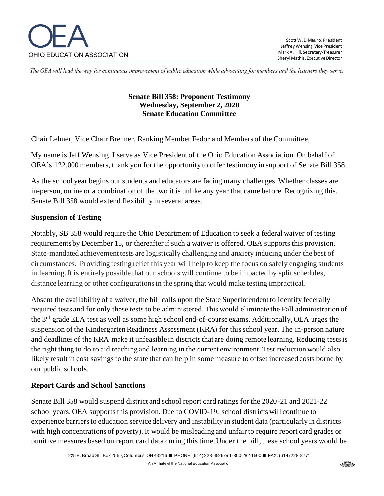

The OEA will lead the way for continuous improvement of public education while advocating for members and the learners they serve.

### **Senate Bill 358: Proponent Testimony Wednesday, September 2, 2020 Senate Education Committee**

Chair Lehner, Vice Chair Brenner, Ranking Member Fedor and Members of the Committee,

My name is Jeff Wensing. I serve as Vice President of the Ohio Education Association. On behalf of OEA's 122,000 members, thank you for the opportunity to offer testimony in support of Senate Bill 358.

As the school year begins our students and educators are facing many challenges. Whether classes are in-person, online or a combination of the two it is unlike any year that came before. Recognizing this, Senate Bill 358 would extend flexibility in several areas.

#### **Suspension of Testing**

Notably, SB 358 would require the Ohio Department of Education to seek a federal waiver of testing requirements by December 15, or thereafter if such a waiver is offered. OEA supports this provision. State-mandated achievement tests are logistically challenging and anxiety inducing under the best of circumstances. Providing testing relief this year will help to keep the focus on safely engaging students in learning. It is entirely possible that our schools will continue to be impacted by split schedules, distance learning or other configurations in the spring that would make testing impractical.

Absent the availability of a waiver, the bill calls upon the State Superintendent to identify federally required tests and for only those tests to be administered. This would eliminate the Fall administration of the 3rd grade ELA test as well as some high school end-of-course exams. Additionally, OEA urges the suspension of the Kindergarten Readiness Assessment (KRA) for this school year. The in-person nature and deadlines of the KRA make it unfeasible in districts that are doing remote learning. Reducing tests is the right thing to do to aid teaching and learning in the current environment. Test reduction would also likely result in cost savings to the state that can help in some measure to offset increased costs borne by our public schools.

#### **Report Cards and School Sanctions**

Senate Bill 358 would suspend district and school report card ratings for the 2020-21 and 2021-22 school years. OEA supports this provision. Due to COVID-19, school districts will continue to experience barriers to education service delivery and instability in student data (particularly in districts with high concentrations of poverty). It would be misleading and unfair to require report card grades or punitive measures based on report card data during this time. Under the bill, these school years would be

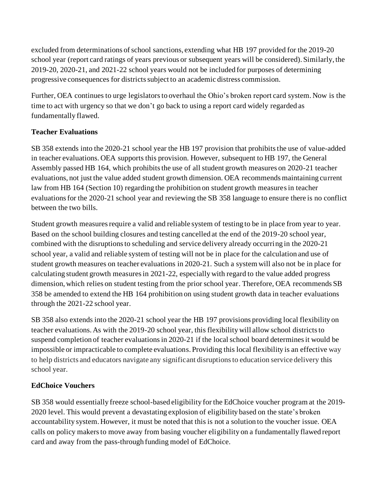excluded from determinations of school sanctions, extending what HB 197 provided for the 2019-20 school year (report card ratings of years previous or subsequent years will be considered). Similarly, the 2019-20, 2020-21, and 2021-22 school years would not be included for purposes of determining progressive consequences for districts subject to an academic distress commission.

Further, OEA continues to urge legislators to overhaul the Ohio's broken report card system. Now is the time to act with urgency so that we don't go back to using a report card widely regarded as fundamentally flawed.

## **Teacher Evaluations**

SB 358 extends into the 2020-21 school year the HB 197 provision that prohibits the use of value-added in teacher evaluations. OEA supports this provision. However, subsequent to HB 197, the General Assembly passed HB 164, which prohibits the use of all student growth measures on 2020-21 teacher evaluations, not just the value added student growth dimension. OEA recommends maintaining current law from HB 164 (Section 10) regarding the prohibition on student growth measures in teacher evaluations for the 2020-21 school year and reviewing the SB 358 language to ensure there is no conflict between the two bills.

Student growth measures require a valid and reliable system of testing to be in place from year to year. Based on the school building closures and testing cancelled at the end of the 2019-20 school year, combined with the disruptions to scheduling and service delivery already occurring in the 2020-21 school year, a valid and reliable system of testing will not be in place for the calculation and use of student growth measures on teacher evaluations in 2020-21. Such a system will also not be in place for calculating student growth measures in 2021-22, especially with regard to the value added progress dimension, which relies on student testing from the prior school year. Therefore, OEA recommends SB 358 be amended to extend the HB 164 prohibition on using student growth data in teacher evaluations through the 2021-22 school year.

SB 358 also extends into the 2020-21 school year the HB 197 provisions providing local flexibility on teacher evaluations. As with the 2019-20 school year, this flexibility will allow school districts to suspend completion of teacher evaluations in 2020-21 if the local school board determines it would be impossible or impracticable to complete evaluations. Providing this local flexibility is an effective way to help districts and educators navigate any significant disruptions to education service delivery this school year.

# **EdChoice Vouchers**

SB 358 would essentially freeze school-based eligibility for the EdChoice voucher program at the 2019- 2020 level. This would prevent a devastating explosion of eligibility based on the state's broken accountability system. However, it must be noted that this is not a solution to the voucher issue. OEA calls on policy makers to move away from basing voucher eligibility on a fundamentally flawed report card and away from the pass-through funding model of EdChoice.